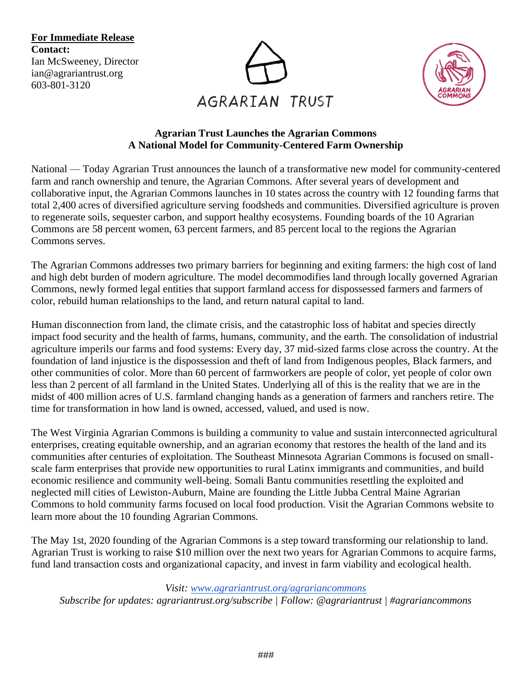**For Immediate Release Contact:**  Ian McSweeney, Director ian@agrariantrust.org 603-801-3120





#### **Agrarian Trust Launches the Agrarian Commons A National Model for Community-Centered Farm Ownership**

National — Today Agrarian Trust announces the launch of a transformative new model for community-centered farm and ranch ownership and tenure, the Agrarian Commons. After several years of development and collaborative input, the Agrarian Commons launches in 10 states across the country with 12 founding farms that total 2,400 acres of diversified agriculture serving foodsheds and communities. Diversified agriculture is proven to regenerate soils, sequester carbon, and support healthy ecosystems. Founding boards of the 10 Agrarian Commons are 58 percent women, 63 percent farmers, and 85 percent local to the regions the Agrarian Commons serves.

The Agrarian Commons addresses two primary barriers for beginning and exiting farmers: the high cost of land and high debt burden of modern agriculture. The model decommodifies land through locally governed Agrarian Commons, newly formed legal entities that support farmland access for dispossessed farmers and farmers of color, rebuild human relationships to the land, and return natural capital to land.

Human disconnection from land, the climate crisis, and the catastrophic loss of habitat and species directly impact food security and the health of farms, humans, community, and the earth. The consolidation of industrial agriculture imperils our farms and food systems: Every day, 37 mid-sized farms close across the country. At the foundation of land injustice is the dispossession and theft of land from Indigenous peoples, Black farmers, and other communities of color. More than 60 percent of farmworkers are people of color, yet people of color own less than 2 percent of all farmland in the United States. Underlying all of this is the reality that we are in the midst of 400 million acres of U.S. farmland changing hands as a generation of farmers and ranchers retire. The time for transformation in how land is owned, accessed, valued, and used is now.

The West Virginia Agrarian Commons is building a community to value and sustain interconnected agricultural enterprises, creating equitable ownership, and an agrarian economy that restores the health of the land and its communities after centuries of exploitation. The Southeast Minnesota Agrarian Commons is focused on smallscale farm enterprises that provide new opportunities to rural Latinx immigrants and communities, and build economic resilience and community well-being. Somali Bantu communities resettling the exploited and neglected mill cities of Lewiston-Auburn, Maine are founding the Little Jubba Central Maine Agrarian Commons to hold community farms focused on local food production. Visit the Agrarian Commons website to learn more about the 10 founding Agrarian Commons.

The May 1st, 2020 founding of the Agrarian Commons is a step toward transforming our relationship to land. Agrarian Trust is working to raise \$10 million over the next two years for Agrarian Commons to acquire farms, fund land transaction costs and organizational capacity, and invest in farm viability and ecological health.

*Visit: [www.agrariantrust.org/agrariancommons](http://www.agrariantrust.org/agrariancommons)*

*Subscribe for updates: agrariantrust.org/subscribe | Follow: @agrariantrust | #agrariancommons*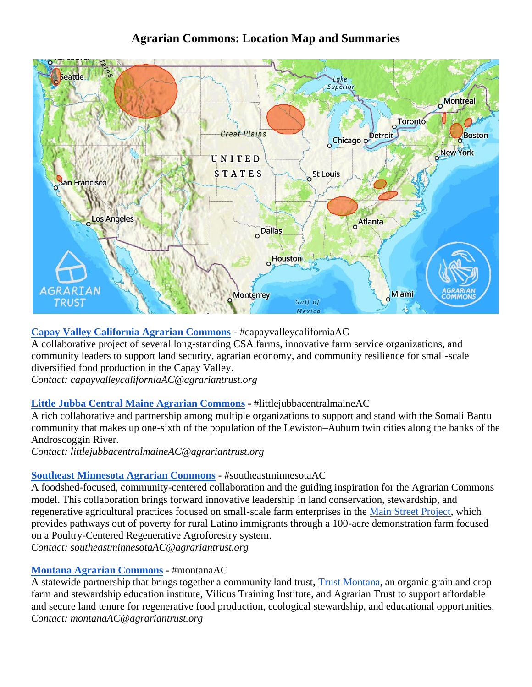# **Agrarian Commons: Location Map and Summaries**



# **[Capay Valley California Agrarian Commons](https://agrariantrust.org/agrariancommons/capay-valley/)** - #capayvalleycaliforniaAC

A collaborative project of several long-standing CSA farms, innovative farm service organizations, and community leaders to support land security, agrarian economy, and community resilience for small-scale diversified food production in the Capay Valley.

*Contact: capayvalleycaliforniaAC@agrariantrust.org*

# **[Little Jubba Central Maine Agrarian Commons](https://agrariantrust.org/agrariancommons/little-jubba-central-maine/) -** #littlejubbacentralmaineAC

A rich collaborative and partnership among multiple organizations to support and stand with the Somali Bantu community that makes up one-sixth of the population of the Lewiston–Auburn twin cities along the banks of the Androscoggin River.

*Contact: littlejubbacentralmaineAC@agrariantrust.org*

#### **[Southeast Minnesota Agrarian Commons](https://agrariantrust.org/agrariancommons/southeast-mn/) -** #southeastminnesotaAC

A foodshed-focused, community-centered collaboration and the guiding inspiration for the Agrarian Commons model. This collaboration brings forward innovative leadership in land conservation, stewardship, and regenerative agricultural practices focused on small-scale farm enterprises in the [Main Street Project,](https://mainstreetproject.org/) which provides pathways out of poverty for rural Latino immigrants through a 100-acre demonstration farm focused on a Poultry-Centered Regenerative Agroforestry system.

*Contact: southeastminnesotaAC@agrariantrust.org*

# **[Montana Agrarian Commons](https://agrariantrust.org/agrariancommons/mt/) -** #montanaAC

A statewide partnership that brings together a community land trust, [Trust Montana,](https://trustmontana.org/) an organic grain and crop farm and stewardship education institute, Vilicus Training Institute, and Agrarian Trust to support affordable and secure land tenure for regenerative food production, ecological stewardship, and educational opportunities. *Contact: montanaAC@agrariantrust.org*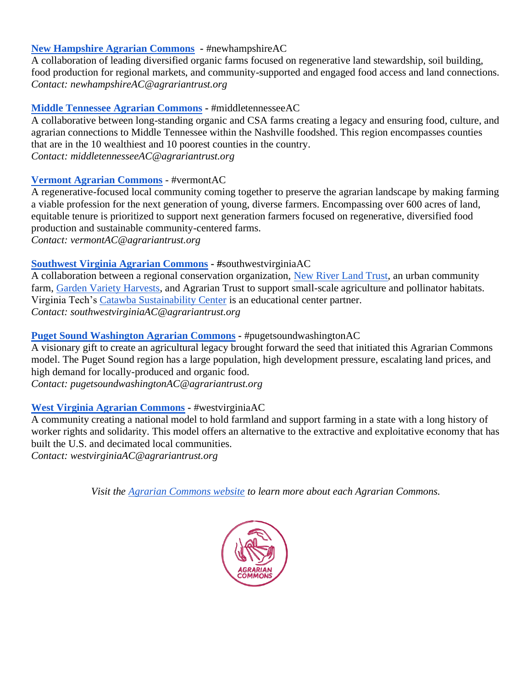#### **[New Hampshire Agrarian Commons](https://agrariantrust.org/agrariancommons/new-hampshire) -** #newhampshireAC

A collaboration of leading diversified organic farms focused on regenerative land stewardship, soil building, food production for regional markets, and community-supported and engaged food access and land connections. *Contact: newhampshireAC@agrariantrust.org*

#### **[Middle Tennessee Agrarian Commons](https://agrariantrust.org/agrariancommons/middle-tn/) -** #middletennesseeAC

A collaborative between long-standing organic and CSA farms creating a legacy and ensuring food, culture, and agrarian connections to Middle Tennessee within the Nashville foodshed. This region encompasses counties that are in the 10 wealthiest and 10 poorest counties in the country. *Contact: middletennesseeAC@agrariantrust.org*

#### **[Vermont Agrarian Commons](https://agrariantrust.org/agrariancommons/vermont/)** - #vermontAC

A regenerative-focused local community coming together to preserve the agrarian landscape by making farming a viable profession for the next generation of young, diverse farmers. Encompassing over 600 acres of land, equitable tenure is prioritized to support next generation farmers focused on regenerative, diversified food production and sustainable community-centered farms. *Contact: vermontAC@agrariantrust.org*

#### **[Southwest Virginia Agrarian Commons](https://agrariantrust.org/agrariancommons/virginia/) - #**southwestvirginiaAC

A collaboration between a regional conservation organization, [New River Land Trust,](https://newriverlandtrust.org/) an urban community farm, [Garden Variety Harvests,](https://www.gardenvarietyharvests.com/) and Agrarian Trust to support small-scale agriculture and pollinator habitats. Virginia Tech's [Catawba Sustainability Center](https://vtnews.vt.edu/articles/2020/04/outreach-catawbaincubator.html?utm_source=cmpgn_news&utm_medium=email&utm_campaign=vtUnirelNewsDailyCMP_041720-f%2Fs&fbclid=IwAR1hV6atokMVOwy6P1D32g1RdR7uX4HNgZycXKMYAUOqyn5G_RtRoAA6Vko) is an educational center partner. *Contact: southwestvirginiaAC@agrariantrust.org*

#### **[Puget Sound Washington Agrarian Commons](https://agrariantrust.org/agrariancommons/puget-sound/) -** #pugetsoundwashingtonAC

A visionary gift to create an agricultural legacy brought forward the seed that initiated this Agrarian Commons model. The Puget Sound region has a large population, high development pressure, escalating land prices, and high demand for locally-produced and organic food.

*Contact: pugetsoundwashingtonAC@agrariantrust.org*

# **[West Virginia Agrarian Commons](https://agrariantrust.org/agrariancommons/west-virginia/) -** #westvirginiaAC

A community creating a national model to hold farmland and support farming in a state with a long history of worker rights and solidarity. This model offers an alternative to the extractive and exploitative economy that has built the U.S. and decimated local communities.

*Contact: westvirginiaAC@agrariantrust.org*

*Visit the [Agrarian Commons website](http://agrariantrust.org/agrariancommons/) to learn more about each Agrarian Commons.*